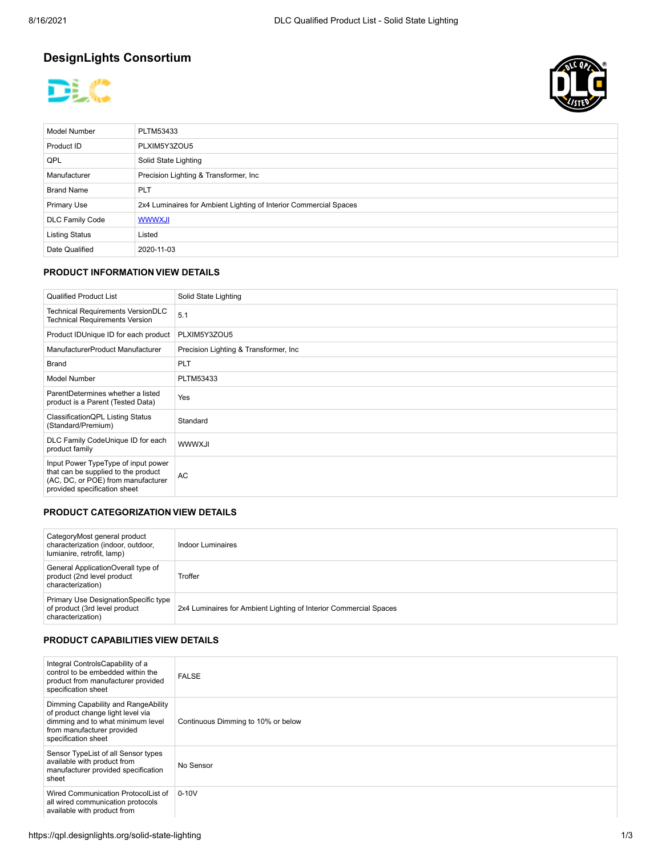# **DesignLights Consortium**





| <b>Model Number</b>    | PLTM53433                                                         |
|------------------------|-------------------------------------------------------------------|
| Product ID             | PLXIM5Y3ZOU5                                                      |
| QPL                    | Solid State Lighting                                              |
| Manufacturer           | Precision Lighting & Transformer, Inc.                            |
| <b>Brand Name</b>      | <b>PLT</b>                                                        |
| <b>Primary Use</b>     | 2x4 Luminaires for Ambient Lighting of Interior Commercial Spaces |
| <b>DLC Family Code</b> | <b>WWWXJI</b>                                                     |
| <b>Listing Status</b>  | Listed                                                            |
| Date Qualified         | 2020-11-03                                                        |

#### **PRODUCT INFORMATION VIEW DETAILS**

| <b>Qualified Product List</b>                                                                                                                    | Solid State Lighting                   |
|--------------------------------------------------------------------------------------------------------------------------------------------------|----------------------------------------|
| Technical Requirements VersionDLC<br><b>Technical Requirements Version</b>                                                                       | 5.1                                    |
| Product IDUnique ID for each product                                                                                                             | PLXIM5Y3ZOU5                           |
| ManufacturerProduct Manufacturer                                                                                                                 | Precision Lighting & Transformer, Inc. |
| Brand                                                                                                                                            | <b>PLT</b>                             |
| <b>Model Number</b>                                                                                                                              | PLTM53433                              |
| ParentDetermines whether a listed<br>product is a Parent (Tested Data)                                                                           | Yes                                    |
| ClassificationQPL Listing Status<br>(Standard/Premium)                                                                                           | Standard                               |
| DLC Family CodeUnique ID for each<br>product family                                                                                              | <b>WWWXJI</b>                          |
| Input Power TypeType of input power<br>that can be supplied to the product<br>(AC, DC, or POE) from manufacturer<br>provided specification sheet | <b>AC</b>                              |

# **PRODUCT CATEGORIZATION VIEW DETAILS**

| CategoryMost general product<br>characterization (indoor, outdoor,<br>lumianire, retrofit, lamp) | Indoor Luminaires                                                 |
|--------------------------------------------------------------------------------------------------|-------------------------------------------------------------------|
| General ApplicationOverall type of<br>product (2nd level product<br>characterization)            | Troffer                                                           |
| Primary Use DesignationSpecific type<br>of product (3rd level product<br>characterization)       | 2x4 Luminaires for Ambient Lighting of Interior Commercial Spaces |

#### **PRODUCT CAPABILITIES VIEW DETAILS**

| Integral ControlsCapability of a<br>control to be embedded within the<br>product from manufacturer provided<br>specification sheet                                 | <b>FALSE</b>                       |
|--------------------------------------------------------------------------------------------------------------------------------------------------------------------|------------------------------------|
| Dimming Capability and RangeAbility<br>of product change light level via<br>dimming and to what minimum level<br>from manufacturer provided<br>specification sheet | Continuous Dimming to 10% or below |
| Sensor TypeList of all Sensor types<br>available with product from<br>manufacturer provided specification<br>sheet                                                 | No Sensor                          |
| Wired Communication ProtocolList of<br>all wired communication protocols<br>available with product from                                                            | $0 - 10V$                          |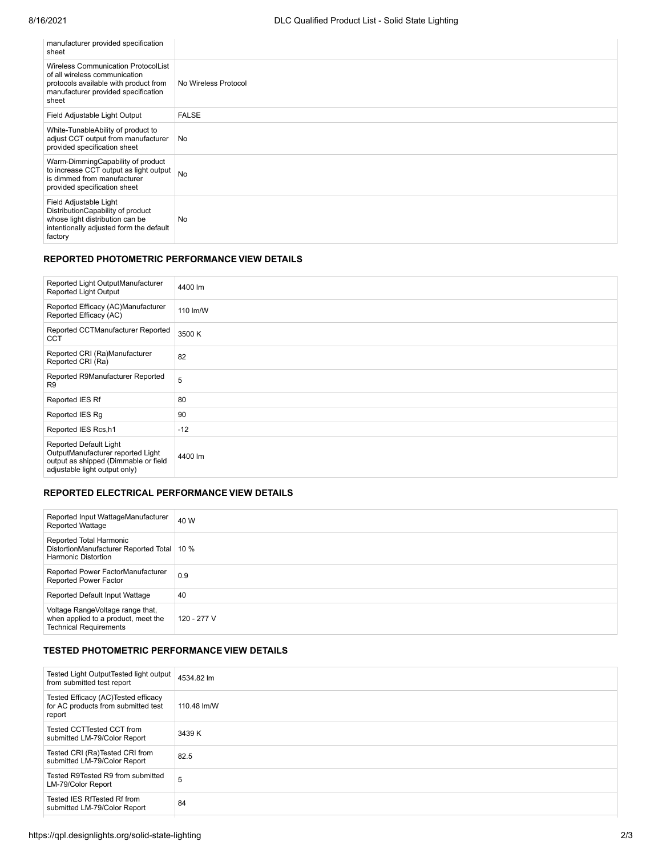| manufacturer provided specification<br>sheet                                                                                                                         |                      |
|----------------------------------------------------------------------------------------------------------------------------------------------------------------------|----------------------|
| <b>Wireless Communication ProtocolList</b><br>of all wireless communication<br>protocols available with product from<br>manufacturer provided specification<br>sheet | No Wireless Protocol |
| Field Adjustable Light Output                                                                                                                                        | <b>FALSE</b>         |
| White-TunableAbility of product to<br>adjust CCT output from manufacturer<br>provided specification sheet                                                            | No                   |
| Warm-DimmingCapability of product<br>to increase CCT output as light output<br>is dimmed from manufacturer<br>provided specification sheet                           | <b>No</b>            |
| Field Adjustable Light<br>DistributionCapability of product<br>whose light distribution can be<br>intentionally adjusted form the default<br>factory                 | No                   |

### **REPORTED PHOTOMETRIC PERFORMANCE VIEW DETAILS**

| Reported Light OutputManufacturer<br><b>Reported Light Output</b>                                                                    | 4400 lm  |
|--------------------------------------------------------------------------------------------------------------------------------------|----------|
| Reported Efficacy (AC)Manufacturer<br>Reported Efficacy (AC)                                                                         | 110 lm/W |
| Reported CCTManufacturer Reported<br>CCT                                                                                             | 3500 K   |
| Reported CRI (Ra)Manufacturer<br>Reported CRI (Ra)                                                                                   | 82       |
| Reported R9Manufacturer Reported<br>R <sub>9</sub>                                                                                   | 5        |
| Reported IES Rf                                                                                                                      | 80       |
| Reported IES Rg                                                                                                                      | 90       |
| Reported IES Rcs,h1                                                                                                                  | $-12$    |
| Reported Default Light<br>OutputManufacturer reported Light<br>output as shipped (Dimmable or field<br>adjustable light output only) | 4400 lm  |

#### **REPORTED ELECTRICAL PERFORMANCE VIEW DETAILS**

| Reported Input WattageManufacturer<br><b>Reported Wattage</b>                                            | 40 W        |
|----------------------------------------------------------------------------------------------------------|-------------|
| Reported Total Harmonic<br>DistortionManufacturer Reported Total   10 %<br><b>Harmonic Distortion</b>    |             |
| Reported Power FactorManufacturer<br>Reported Power Factor                                               | 0.9         |
| Reported Default Input Wattage                                                                           | 40          |
| Voltage RangeVoltage range that,<br>when applied to a product, meet the<br><b>Technical Requirements</b> | 120 - 277 V |

# **TESTED PHOTOMETRIC PERFORMANCE VIEW DETAILS**

| Tested Light OutputTested light output<br>from submitted test report                  | 4534.82 lm  |
|---------------------------------------------------------------------------------------|-------------|
| Tested Efficacy (AC) Tested efficacy<br>for AC products from submitted test<br>report | 110.48 lm/W |
| Tested CCTTested CCT from<br>submitted LM-79/Color Report                             | 3439 K      |
| Tested CRI (Ra)Tested CRI from<br>submitted LM-79/Color Report                        | 82.5        |
| Tested R9Tested R9 from submitted<br>LM-79/Color Report                               | 5           |
| Tested IES RfTested Rf from<br>submitted LM-79/Color Report                           | 84          |